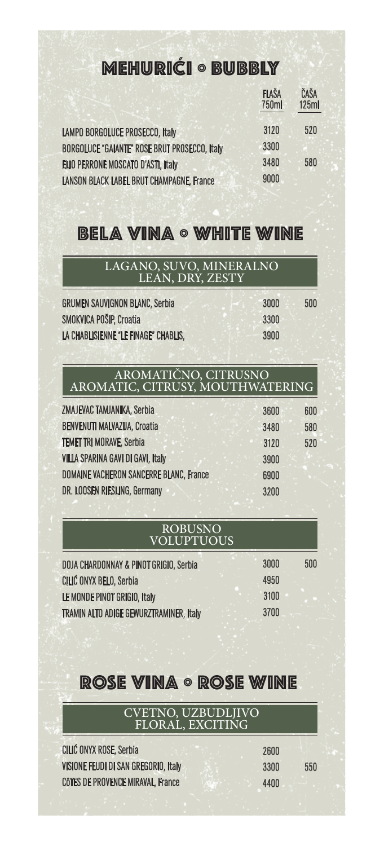# mehurići º bubbly

|                                                      | <b>FLAŠA</b><br>750ml | ČAŠA<br>125ml |
|------------------------------------------------------|-----------------------|---------------|
| LAMPO BORGOLUCE PROSECCO, Italy                      | 3120                  | 520           |
| <b>BORGOLUCE "GAIANTE" ROSE BRUT PROSECCO, Italy</b> | 3300                  |               |
| ELIO PERRONE MOSCATO D'ASTI, Italy                   | 3480                  | 580           |
| <b>LANSON BLACK LABEL BRUT CHAMPAGNE, France</b>     | 9000                  |               |

### BELA VINA º WHITE WINE

| LAGANO, SUVO, MINERALNO<br>LEAN, DRY, ZESTY |      |     |
|---------------------------------------------|------|-----|
| <b>GRUMEN SAUVIGNON BLANC, Serbia</b>       | 3000 | 500 |
| <b>SMOKVICA POŠIP, Croatia</b>              | 3300 |     |
| LA CHABLISIENNE "LE FINAGE" CHABLIS.        | 3900 |     |

#### AROMATIČNO, CITRUSNO AROMATIC, CITRUSY, MOUTHWATERING

| 3600 | 600 |
|------|-----|
|      |     |
| 3480 | 580 |
| 3120 | 520 |
| 3900 |     |
| 6900 |     |
| 3200 |     |
|      |     |

#### ROBUSNO VOLUPTUOUS

| <b>DOJA CHARDONNAY &amp; PINOT GRIGIO, Serbia</b> | 3000 | 500 |
|---------------------------------------------------|------|-----|
| CILIĆ ONYX BELO, Serbia                           | 4950 |     |
| LE MONDE PINOT GRIGIO, Italy                      | 3100 |     |
| TRAMIN ALTO ADIGE GEWURZTRAMINER, Italy           | 3700 |     |

## ROSE VINA º ROSE WINE

### CVETNO, UZBUDLJIVO FLORAL, EXCITING

| <b>CILIĆ ONYX ROSE, Serbia</b>       | 2600 |     |
|--------------------------------------|------|-----|
| VISIONE FEUDI DI SAN GREGORIO, Italy | 3300 | 550 |
| CÔTES DE PROVENCE MIRAVAL, France    | 4400 |     |